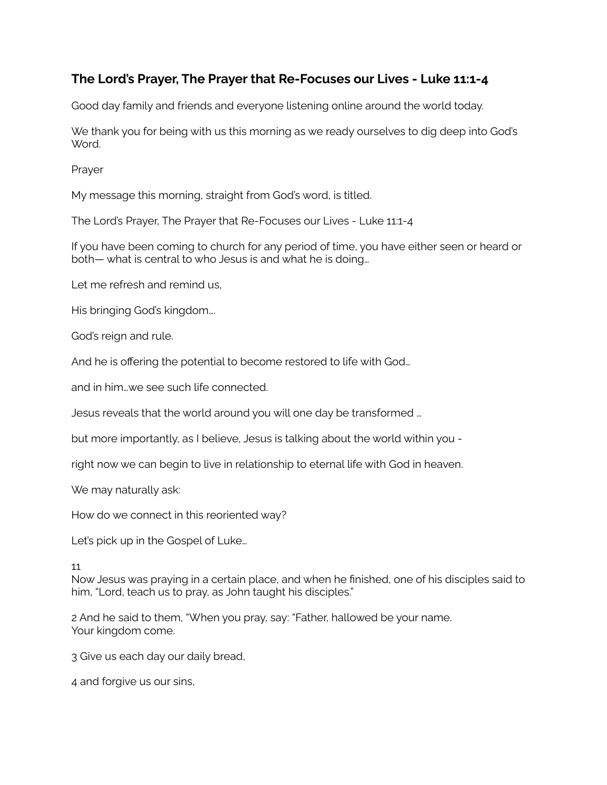## **The Lord's Prayer, The Prayer that Re-Focuses our Lives - Luke 11:1-4**

Good day family and friends and everyone listening online around the world today.

We thank you for being with us this morning as we ready ourselves to dig deep into God's Word.

Prayer

My message this morning, straight from God's word, is titled.

The Lord's Prayer, The Prayer that Re-Focuses our Lives - Luke 11:1-4

If you have been coming to church for any period of time, you have either seen or heard or both— what is central to who Jesus is and what he is doing…

Let me refresh and remind us,

His bringing God's kingdom….

God's reign and rule.

And he is offering the potential to become restored to life with God…

and in him…we see such life connected.

Jesus reveals that the world around you will one day be transformed …

but more importantly, as I believe, Jesus is talking about the world within you -

right now we can begin to live in relationship to eternal life with God in heaven.

We may naturally ask:

How do we connect in this reoriented way?

Let's pick up in the Gospel of Luke…

## 11

Now Jesus was praying in a certain place, and when he finished, one of his disciples said to him, "Lord, teach us to pray, as John taught his disciples."

2 And he said to them, "When you pray, say: "Father, hallowed be your name. Your kingdom come.

3 Give us each day our daily bread,

4 and forgive us our sins,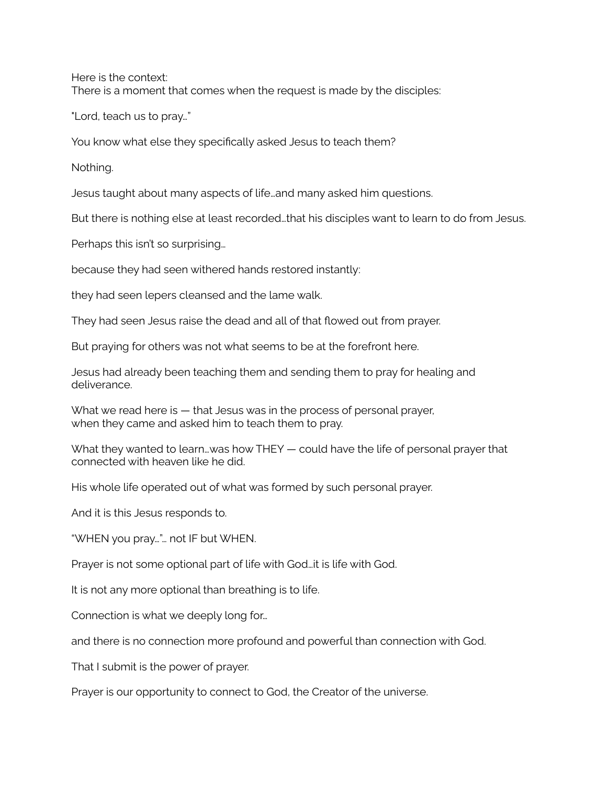Here is the context: There is a moment that comes when the request is made by the disciples:

"Lord, teach us to pray…"

You know what else they specifically asked Jesus to teach them?

Nothing.

Jesus taught about many aspects of life…and many asked him questions.

But there is nothing else at least recorded…that his disciples want to learn to do from Jesus.

Perhaps this isn't so surprising…

because they had seen withered hands restored instantly:

they had seen lepers cleansed and the lame walk.

They had seen Jesus raise the dead and all of that flowed out from prayer.

But praying for others was not what seems to be at the forefront here.

Jesus had already been teaching them and sending them to pray for healing and deliverance.

What we read here is — that Jesus was in the process of personal prayer, when they came and asked him to teach them to pray.

What they wanted to learn…was how THEY — could have the life of personal prayer that connected with heaven like he did.

His whole life operated out of what was formed by such personal prayer.

And it is this Jesus responds to.

"WHEN you pray…"… not IF but WHEN.

Prayer is not some optional part of life with God…it is life with God.

It is not any more optional than breathing is to life.

Connection is what we deeply long for…

and there is no connection more profound and powerful than connection with God.

That I submit is the power of prayer.

Prayer is our opportunity to connect to God, the Creator of the universe.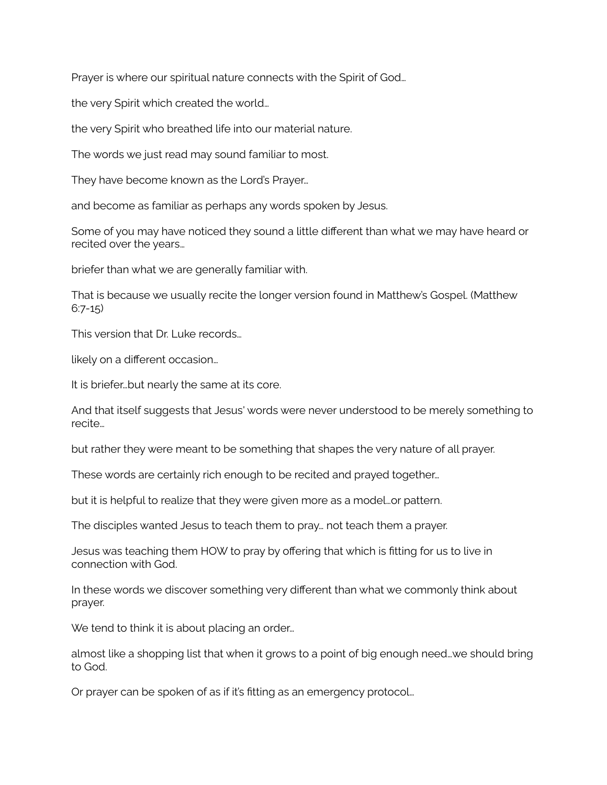Prayer is where our spiritual nature connects with the Spirit of God…

the very Spirit which created the world…

the very Spirit who breathed life into our material nature.

The words we just read may sound familiar to most.

They have become known as the Lord's Prayer…

and become as familiar as perhaps any words spoken by Jesus.

Some of you may have noticed they sound a little different than what we may have heard or recited over the years…

briefer than what we are generally familiar with.

That is because we usually recite the longer version found in Matthew's Gospel. (Matthew  $6:7-15$ 

This version that Dr. Luke records…

likely on a different occasion…

It is briefer…but nearly the same at its core.

And that itself suggests that Jesus' words were never understood to be merely something to recite…

but rather they were meant to be something that shapes the very nature of all prayer.

These words are certainly rich enough to be recited and prayed together…

but it is helpful to realize that they were given more as a model…or pattern.

The disciples wanted Jesus to teach them to pray… not teach them a prayer.

Jesus was teaching them HOW to pray by offering that which is fitting for us to live in connection with God.

In these words we discover something very different than what we commonly think about prayer.

We tend to think it is about placing an order...

almost like a shopping list that when it grows to a point of big enough need…we should bring to God.

Or prayer can be spoken of as if it's fitting as an emergency protocol…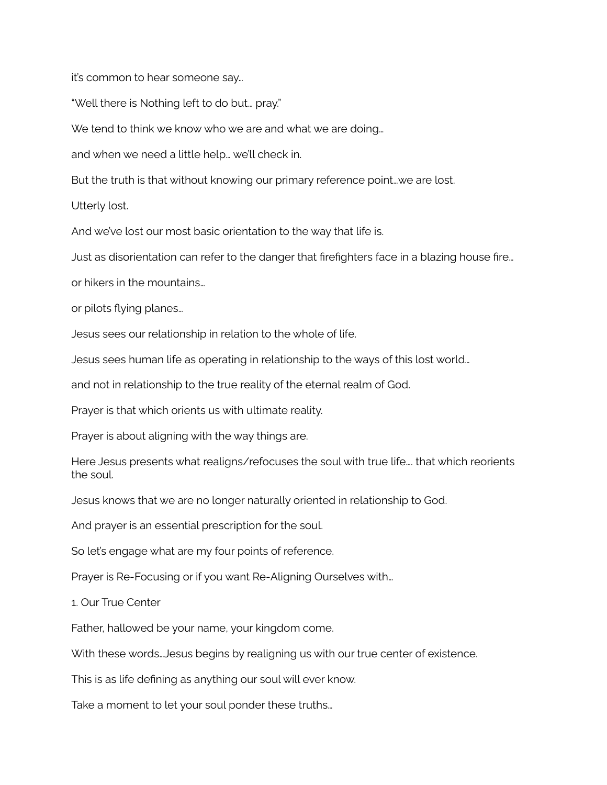it's common to hear someone say…

"Well there is Nothing left to do but… pray."

We tend to think we know who we are and what we are doing...

and when we need a little help… we'll check in.

But the truth is that without knowing our primary reference point…we are lost.

Utterly lost.

And we've lost our most basic orientation to the way that life is.

Just as disorientation can refer to the danger that firefighters face in a blazing house fire…

or hikers in the mountains…

or pilots flying planes…

Jesus sees our relationship in relation to the whole of life.

Jesus sees human life as operating in relationship to the ways of this lost world…

and not in relationship to the true reality of the eternal realm of God.

Prayer is that which orients us with ultimate reality.

Prayer is about aligning with the way things are.

Here Jesus presents what realigns/refocuses the soul with true life…. that which reorients the soul.

Jesus knows that we are no longer naturally oriented in relationship to God.

And prayer is an essential prescription for the soul.

So let's engage what are my four points of reference.

Prayer is Re-Focusing or if you want Re-Aligning Ourselves with…

1. Our True Center

Father, hallowed be your name, your kingdom come.

With these words…Jesus begins by realigning us with our true center of existence.

This is as life defining as anything our soul will ever know.

Take a moment to let your soul ponder these truths…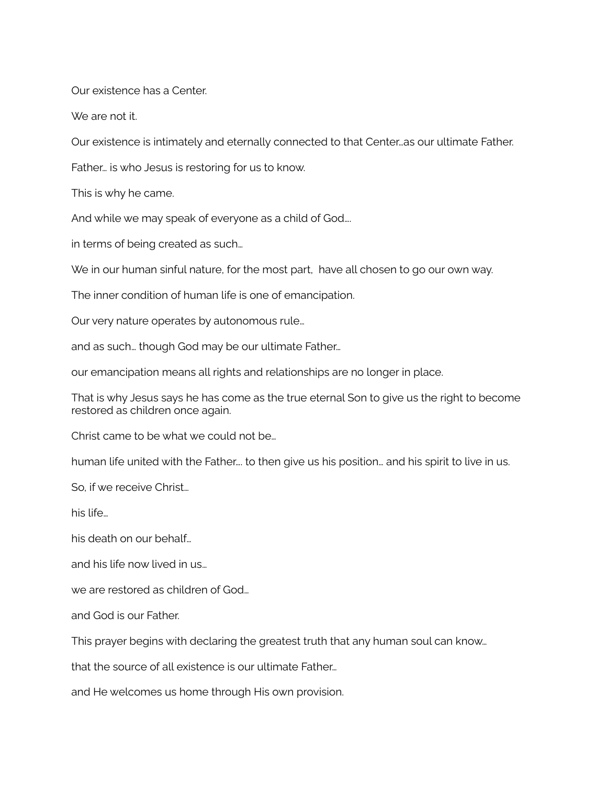Our existence has a Center.

We are not it.

Our existence is intimately and eternally connected to that Center…as our ultimate Father.

Father… is who Jesus is restoring for us to know.

This is why he came.

And while we may speak of everyone as a child of God….

in terms of being created as such…

We in our human sinful nature, for the most part, have all chosen to go our own way.

The inner condition of human life is one of emancipation.

Our very nature operates by autonomous rule…

and as such… though God may be our ultimate Father…

our emancipation means all rights and relationships are no longer in place.

That is why Jesus says he has come as the true eternal Son to give us the right to become restored as children once again.

Christ came to be what we could not be…

human life united with the Father…. to then give us his position… and his spirit to live in us.

So, if we receive Christ…

his life…

his death on our behalf…

and his life now lived in us…

we are restored as children of God…

and God is our Father.

This prayer begins with declaring the greatest truth that any human soul can know…

that the source of all existence is our ultimate Father…

and He welcomes us home through His own provision.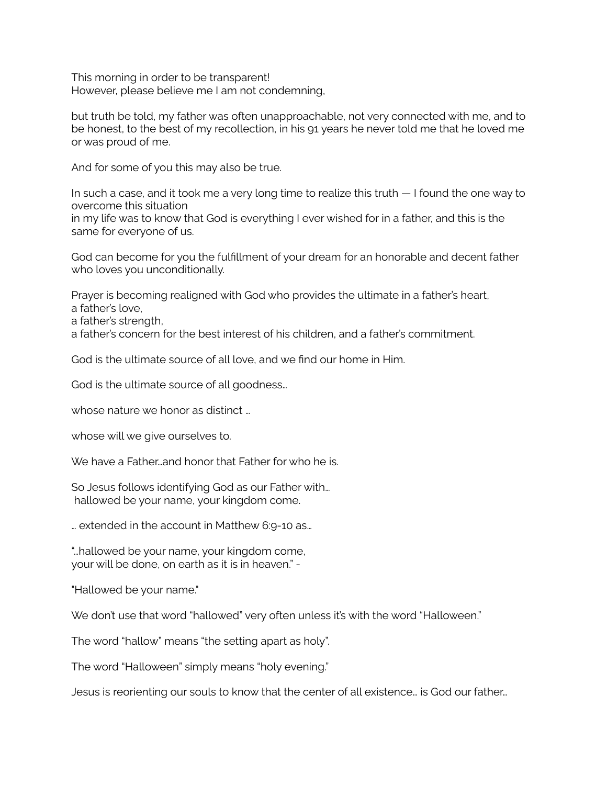This morning in order to be transparent! However, please believe me I am not condemning,

but truth be told, my father was often unapproachable, not very connected with me, and to be honest, to the best of my recollection, in his 91 years he never told me that he loved me or was proud of me.

And for some of you this may also be true.

In such a case, and it took me a very long time to realize this truth — I found the one way to overcome this situation

in my life was to know that God is everything I ever wished for in a father, and this is the same for everyone of us.

God can become for you the fulfillment of your dream for an honorable and decent father who loves you unconditionally.

Prayer is becoming realigned with God who provides the ultimate in a father's heart, a father's love,

a father's strength,

a father's concern for the best interest of his children, and a father's commitment.

God is the ultimate source of all love, and we find our home in Him.

God is the ultimate source of all goodness…

whose nature we honor as distinct ...

whose will we give ourselves to.

We have a Father and honor that Father for who he is.

So Jesus follows identifying God as our Father with… hallowed be your name, your kingdom come.

… extended in the account in Matthew 6:9-10 as…

"…hallowed be your name, your kingdom come, your will be done, on earth as it is in heaven." -

"Hallowed be your name."

We don't use that word "hallowed" very often unless it's with the word "Halloween."

The word "hallow" means "the setting apart as holy".

The word "Halloween" simply means "holy evening."

Jesus is reorienting our souls to know that the center of all existence… is God our father…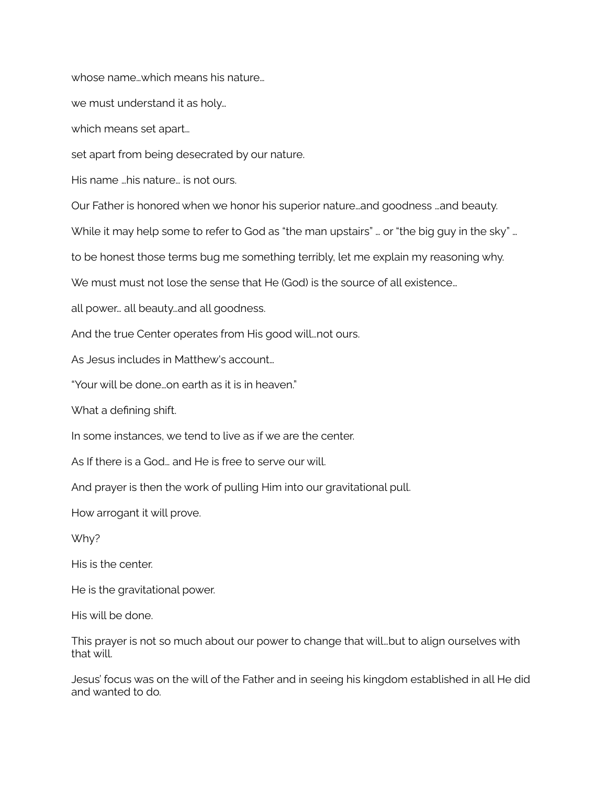whose name…which means his nature…

we must understand it as holy…

which means set apart…

set apart from being desecrated by our nature.

His name …his nature… is not ours.

Our Father is honored when we honor his superior nature…and goodness …and beauty.

While it may help some to refer to God as "the man upstairs" ... or "the big guy in the sky" ...

to be honest those terms bug me something terribly, let me explain my reasoning why.

We must must not lose the sense that He (God) is the source of all existence...

all power… all beauty…and all goodness.

And the true Center operates from His good will…not ours.

As Jesus includes in Matthew's account…

"Your will be done…on earth as it is in heaven."

What a defining shift.

In some instances, we tend to live as if we are the center.

As If there is a God… and He is free to serve our will.

And prayer is then the work of pulling Him into our gravitational pull.

How arrogant it will prove.

Why?

His is the center.

He is the gravitational power.

His will be done.

This prayer is not so much about our power to change that will…but to align ourselves with that will.

Jesus' focus was on the will of the Father and in seeing his kingdom established in all He did and wanted to do.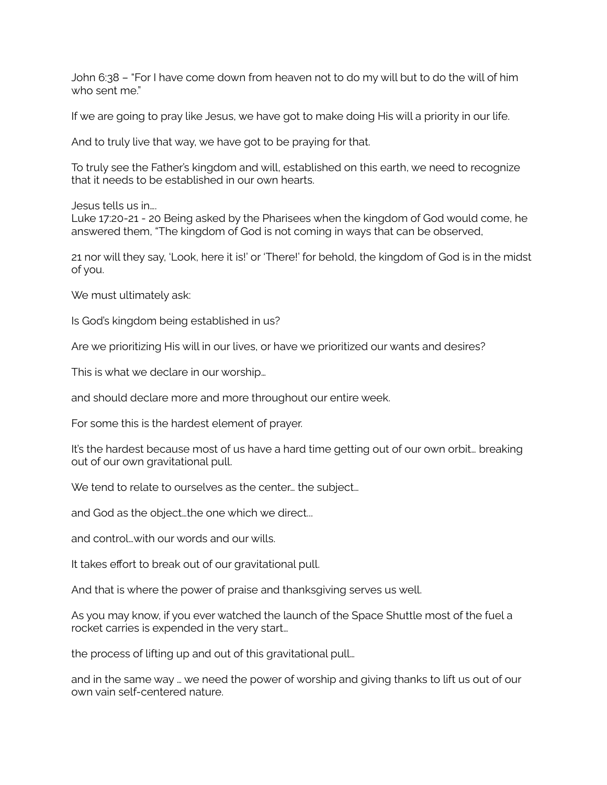John 6:38 – "For I have come down from heaven not to do my will but to do the will of him who sent me."

If we are going to pray like Jesus, we have got to make doing His will a priority in our life.

And to truly live that way, we have got to be praying for that.

To truly see the Father's kingdom and will, established on this earth, we need to recognize that it needs to be established in our own hearts.

Jesus tells us in….

Luke 17:20-21 - 20 Being asked by the Pharisees when the kingdom of God would come, he answered them, "The kingdom of God is not coming in ways that can be observed,

21 nor will they say, 'Look, here it is!' or 'There!' for behold, the kingdom of God is in the midst of you.

We must ultimately ask:

Is God's kingdom being established in us?

Are we prioritizing His will in our lives, or have we prioritized our wants and desires?

This is what we declare in our worship…

and should declare more and more throughout our entire week.

For some this is the hardest element of prayer.

It's the hardest because most of us have a hard time getting out of our own orbit… breaking out of our own gravitational pull.

We tend to relate to ourselves as the center... the subject...

and God as the object…the one which we direct...

and control…with our words and our wills.

It takes effort to break out of our gravitational pull.

And that is where the power of praise and thanksgiving serves us well.

As you may know, if you ever watched the launch of the Space Shuttle most of the fuel a rocket carries is expended in the very start…

the process of lifting up and out of this gravitational pull…

and in the same way … we need the power of worship and giving thanks to lift us out of our own vain self-centered nature.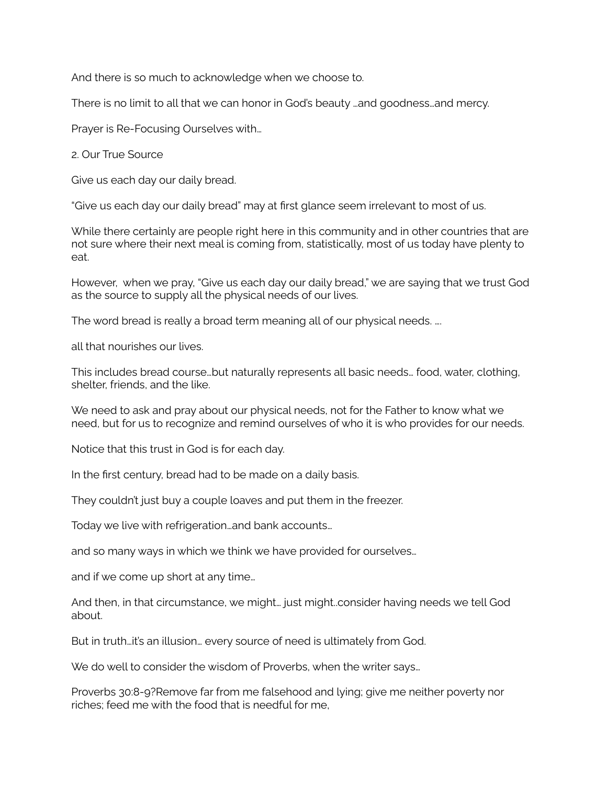And there is so much to acknowledge when we choose to.

There is no limit to all that we can honor in God's beauty …and goodness…and mercy.

Prayer is Re-Focusing Ourselves with…

2. Our True Source

Give us each day our daily bread.

"Give us each day our daily bread" may at first glance seem irrelevant to most of us.

While there certainly are people right here in this community and in other countries that are not sure where their next meal is coming from, statistically, most of us today have plenty to eat.

However, when we pray, "Give us each day our daily bread," we are saying that we trust God as the source to supply all the physical needs of our lives.

The word bread is really a broad term meaning all of our physical needs. ….

all that nourishes our lives.

This includes bread course…but naturally represents all basic needs… food, water, clothing, shelter, friends, and the like.

We need to ask and pray about our physical needs, not for the Father to know what we need, but for us to recognize and remind ourselves of who it is who provides for our needs.

Notice that this trust in God is for each day.

In the first century, bread had to be made on a daily basis.

They couldn't just buy a couple loaves and put them in the freezer.

Today we live with refrigeration…and bank accounts…

and so many ways in which we think we have provided for ourselves…

and if we come up short at any time…

And then, in that circumstance, we might… just might..consider having needs we tell God about.

But in truth…it's an illusion… every source of need is ultimately from God.

We do well to consider the wisdom of Proverbs, when the writer says...

Proverbs 30:8-9?Remove far from me falsehood and lying; give me neither poverty nor riches; feed me with the food that is needful for me,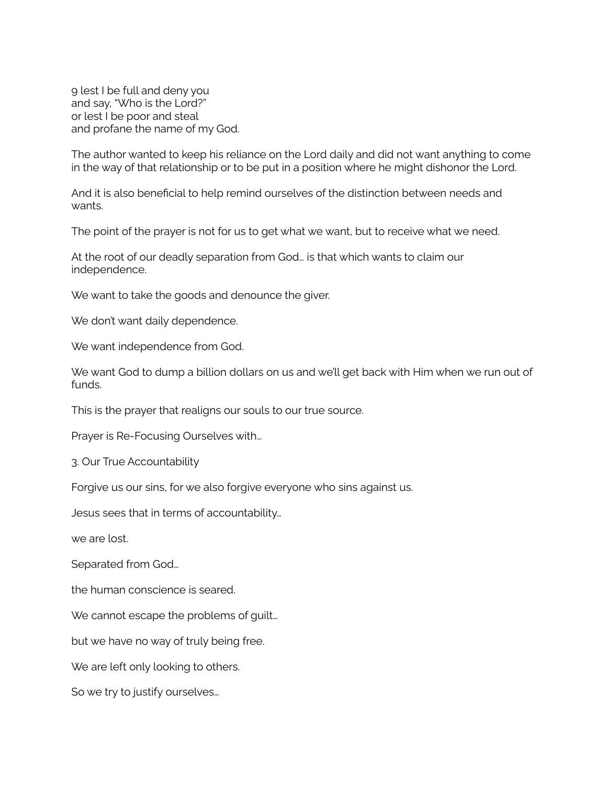9 lest I be full and deny you and say, "Who is the Lord?" or lest I be poor and steal and profane the name of my God.

The author wanted to keep his reliance on the Lord daily and did not want anything to come in the way of that relationship or to be put in a position where he might dishonor the Lord.

And it is also beneficial to help remind ourselves of the distinction between needs and wants.

The point of the prayer is not for us to get what we want, but to receive what we need.

At the root of our deadly separation from God… is that which wants to claim our independence.

We want to take the goods and denounce the giver.

We don't want daily dependence.

We want independence from God.

We want God to dump a billion dollars on us and we'll get back with Him when we run out of funds.

This is the prayer that realigns our souls to our true source.

Prayer is Re-Focusing Ourselves with…

3. Our True Accountability

Forgive us our sins, for we also forgive everyone who sins against us.

Jesus sees that in terms of accountability…

we are lost.

Separated from God…

the human conscience is seared.

We cannot escape the problems of guilt...

but we have no way of truly being free.

We are left only looking to others.

So we try to justify ourselves…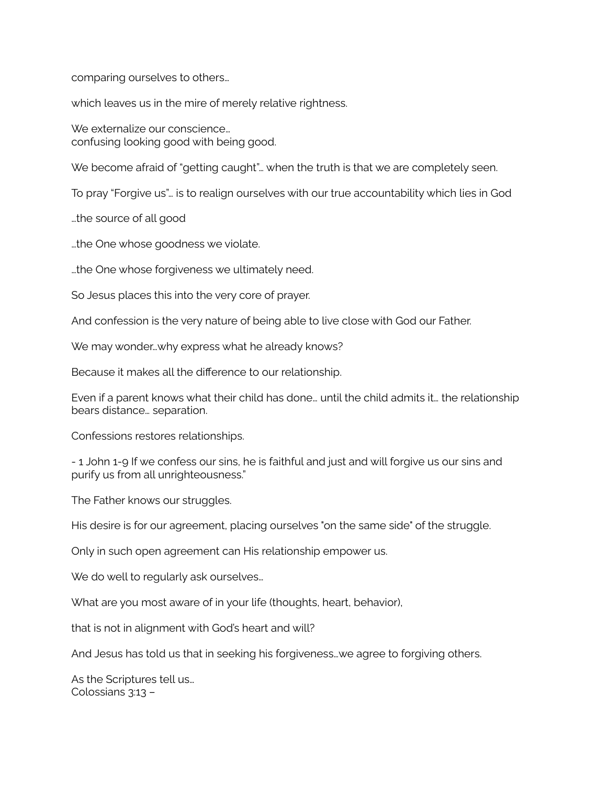comparing ourselves to others…

which leaves us in the mire of merely relative rightness.

We externalize our conscience… confusing looking good with being good.

We become afraid of "getting caught"… when the truth is that we are completely seen.

To pray "Forgive us"… is to realign ourselves with our true accountability which lies in God

…the source of all good

…the One whose goodness we violate.

…the One whose forgiveness we ultimately need.

So Jesus places this into the very core of prayer.

And confession is the very nature of being able to live close with God our Father.

We may wonder...why express what he already knows?

Because it makes all the difference to our relationship.

Even if a parent knows what their child has done… until the child admits it… the relationship bears distance… separation.

Confessions restores relationships.

- 1 John 1-9 If we confess our sins, he is faithful and just and will forgive us our sins and purify us from all unrighteousness."

The Father knows our struggles.

His desire is for our agreement, placing ourselves "on the same side" of the struggle.

Only in such open agreement can His relationship empower us.

We do well to regularly ask ourselves...

What are you most aware of in your life (thoughts, heart, behavior),

that is not in alignment with God's heart and will?

And Jesus has told us that in seeking his forgiveness…we agree to forgiving others.

As the Scriptures tell us… Colossians 3:13 –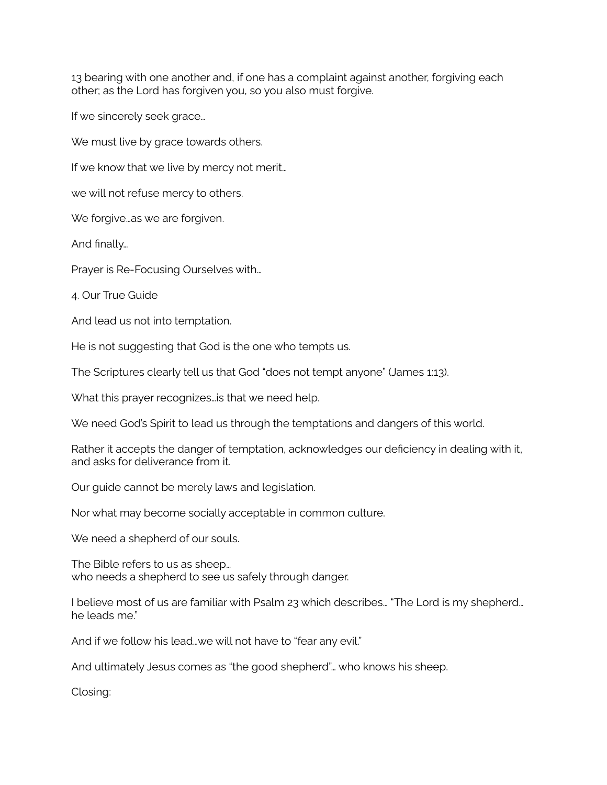13 bearing with one another and, if one has a complaint against another, forgiving each other; as the Lord has forgiven you, so you also must forgive.

If we sincerely seek grace…

We must live by grace towards others.

If we know that we live by mercy not merit…

we will not refuse mercy to others.

We forgive...as we are forgiven.

And finally…

Prayer is Re-Focusing Ourselves with…

4. Our True Guide

And lead us not into temptation.

He is not suggesting that God is the one who tempts us.

The Scriptures clearly tell us that God "does not tempt anyone" (James 1:13).

What this prayer recognizes…is that we need help.

We need God's Spirit to lead us through the temptations and dangers of this world.

Rather it accepts the danger of temptation, acknowledges our deficiency in dealing with it, and asks for deliverance from it.

Our guide cannot be merely laws and legislation.

Nor what may become socially acceptable in common culture.

We need a shepherd of our souls.

The Bible refers to us as sheep… who needs a shepherd to see us safely through danger.

I believe most of us are familiar with Psalm 23 which describes… "The Lord is my shepherd… he leads me."

And if we follow his lead…we will not have to "fear any evil."

And ultimately Jesus comes as "the good shepherd"… who knows his sheep.

Closing: